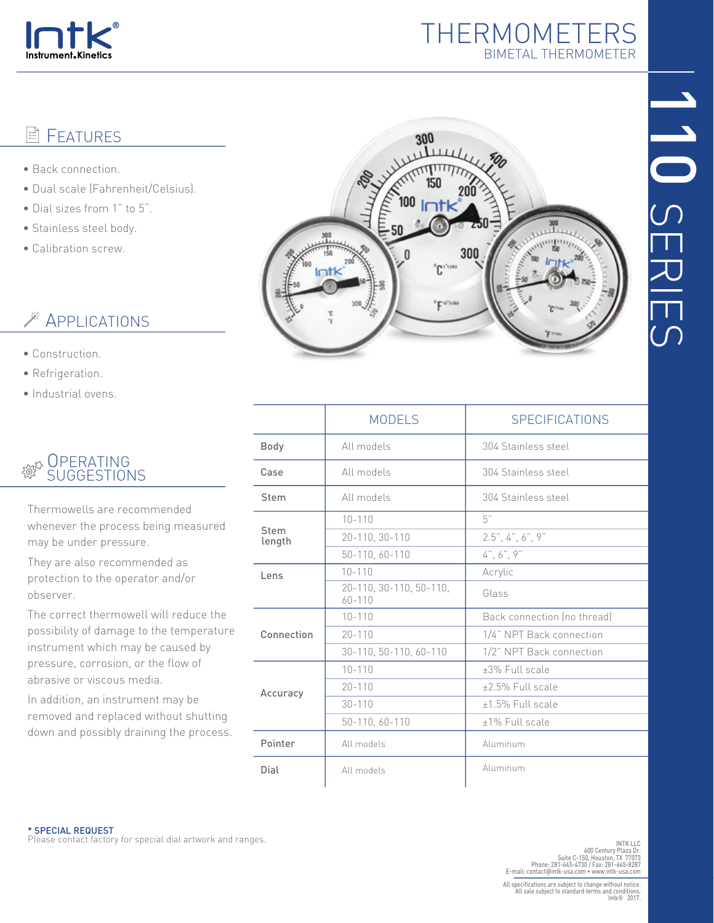

# THERMOMETERS BIMETAL THERMOMETER

# 1<br>101 SERIES

#### **FEATURES** 闫

- Back connection.
- Dual scale (Fahrenheit/Celsius).
- Dial sizes from 1" to 5".
- Stainless steel body.
- Calibration screw.

# **Example 25 APPLICATIONS**

- Construction.
- Refrigeration.
- Industrial ovens.

### **OPERATING** SUGGESTIONS

Thermowells are recommended whenever the process being measured may be under pressure.

They are also recommended as protection to the operator and/or observer.

The correct thermowell will reduce the possibility of damage to the temperature instrument which may be caused by pressure, corrosion, or the flow of abrasive or viscous media.

In addition, an instrument may be removed and replaced without shutting down and possibly draining the process.



|                | <b>MODELS</b>                         | <b>SPECIFICATIONS</b>       |  |  |  |  |
|----------------|---------------------------------------|-----------------------------|--|--|--|--|
| <b>Body</b>    | All models                            | 304 Stainless steel         |  |  |  |  |
| Case           | All models                            | 304 Stainless steel         |  |  |  |  |
| Stem           | All models                            | 304 Stainless steel         |  |  |  |  |
| Stem<br>length | $10 - 110$                            | 5"                          |  |  |  |  |
|                | 20-110, 30-110                        | 2.5", 4", 6", 9"            |  |  |  |  |
|                | 50-110, 60-110                        | 4", 6", 9"                  |  |  |  |  |
| Lens           | $10 - 110$                            | Acrylic                     |  |  |  |  |
|                | 20-110, 30-110, 50-110,<br>$60 - 110$ | Glass                       |  |  |  |  |
| Connection     | $10 - 110$                            | Back connection (no thread) |  |  |  |  |
|                | $20 - 110$                            | 1/4" NPT Back connection    |  |  |  |  |
|                | 30-110, 50-110, 60-110                | 1/2" NPT Back connection    |  |  |  |  |
| Accuracy       | $10 - 110$                            | ±3% Full scale              |  |  |  |  |
|                | $20 - 110$                            | +2.5% Full scale            |  |  |  |  |
|                | $30 - 110$                            | $±1.5%$ Full scale          |  |  |  |  |
|                | 50-110, 60-110                        | $±1\%$ Full scale           |  |  |  |  |
| Pointer        | All models                            | Aluminum                    |  |  |  |  |
| Dial           | All models                            | Aluminum                    |  |  |  |  |
|                |                                       |                             |  |  |  |  |